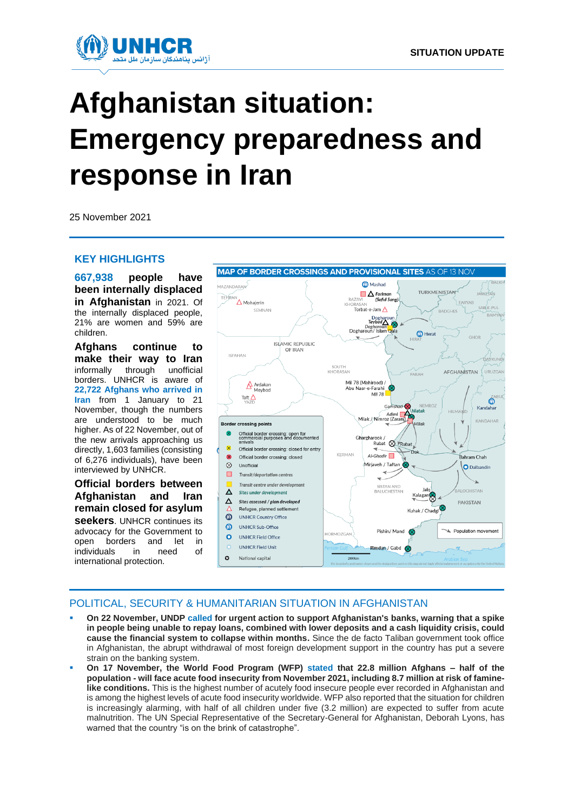

# **Afghanistan situation: Emergency preparedness and response in Iran**

25 November 2021

### **KEY HIGHLIGHTS**

**[667,938](https://www.humanitarianresponse.info/en/operations/afghanistan/idps) people have been internally displaced in Afghanistan** in 2021. Of the internally displaced people, 21% are women and 59% are children.

**Afghans continue to make their way to Iran**  informally through unofficial borders. UNHCR is aware of **22,722 Afghans who arrived in Iran** from 1 January to 21 November, though the numbers are understood to be much higher. As of 22 November, out of the new arrivals approaching us directly, 1,603 families (consisting of 6,276 individuals), have been interviewed by UNHCR.

**Official borders between Afghanistan and Iran remain closed for asylum seekers**. UNHCR continues its advocacy for the Government to open borders and let in individuals in need of international protection.



# POLITICAL, SECURITY & HUMANITARIAN SITUATION IN AFGHANISTAN

- **On 22 November, UND[P called](https://www.af.undp.org/content/afghanistan/en/home/presscenter/pressreleases/2021/UNDP-support-health-sector.html) for urgent action to support Afghanistan's banks, warning that a spike in people being unable to repay loans, combined with lower deposits and a cash liquidity crisis, could cause the financial system to collapse within months.** Since the de facto Taliban government took office in Afghanistan, the abrupt withdrawal of most foreign development support in the country has put a severe strain on the banking system.
- **On 17 November, the World Food Program (WFP) [stated](https://reliefweb.int/sites/reliefweb.int/files/resources/Afghanistan_External_Sitrep_211117.pdf) that 22.8 million Afghans – half of the population - will face acute food insecurity from November 2021, including 8.7 million at risk of faminelike conditions.** This is the highest number of acutely food insecure people ever recorded in Afghanistan and is among the highest levels of acute food insecurity worldwide. WFP also reported that the situation for children is increasingly alarming, with half of all children under five (3.2 million) are expected to suffer from acute malnutrition. The UN Special Representative of the Secretary-General for Afghanistan, Deborah Lyons, has warned that the country "is on the brink of catastrophe".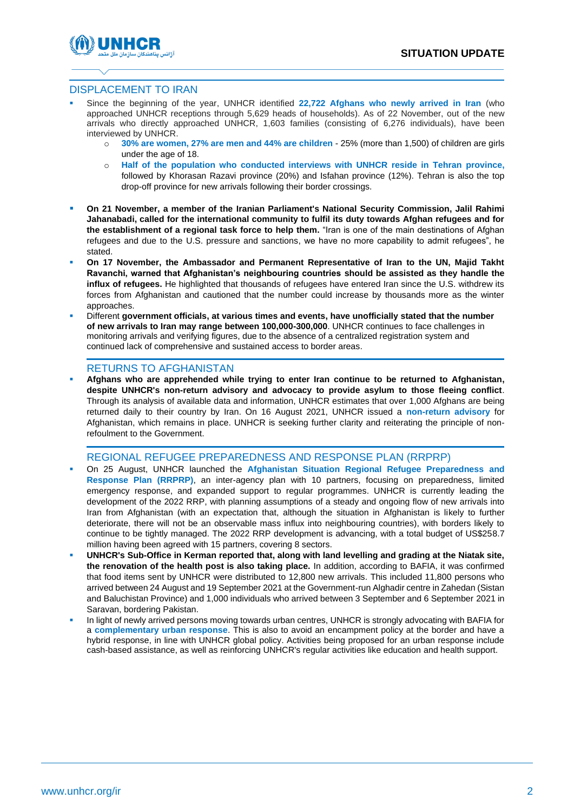

## DISPLACEMENT TO IRAN

- Since the beginning of the year, UNHCR identified 22.722 Afghans who newly arrived in Iran (who approached UNHCR receptions through 5,629 heads of households). As of 22 November, out of the new arrivals who directly approached UNHCR, 1,603 families (consisting of 6,276 individuals), have been interviewed by UNHCR.
	- o **30% are women, 27% are men and 44% are children** 25% (more than 1,500) of children are girls under the age of 18.
	- o **Half of the population who conducted interviews with UNHCR reside in Tehran province,**  followed by Khorasan Razavi province (20%) and Isfahan province (12%). Tehran is also the top drop-off province for new arrivals following their border crossings.
- **On 21 November, a member of the Iranian Parliament's National Security Commission, Jalil Rahimi Jahanabadi, called for the international community to fulfil its duty towards Afghan refugees and for the establishment of a regional task force to help them.** "Iran is one of the main destinations of Afghan refugees and due to the U.S. pressure and sanctions, we have no more capability to admit refugees", he stated.
- On 17 November, the Ambassador and Permanent Representative of Iran to the UN, Majid Takht **Ravanchi, warned that Afghanistan's neighbouring countries should be assisted as they handle the influx of refugees.** He highlighted that thousands of refugees have entered Iran since the U.S. withdrew its forces from Afghanistan and cautioned that the number could increase by thousands more as the winter approaches.
- Different **government officials, at various times and events, have unofficially stated that the number of new arrivals to Iran may range between 100,000-300,000**. UNHCR continues to face challenges in monitoring arrivals and verifying figures, due to the absence of a centralized registration system and continued lack of comprehensive and sustained access to border areas.

### RETURNS TO AFGHANISTAN

▪ **Afghans who are apprehended while trying to enter Iran continue to be returned to Afghanistan, despite UNHCR's non-return advisory and advocacy to provide asylum to those fleeing conflict**. Through its analysis of available data and information, UNHCR estimates that over 1,000 Afghans are being returned daily to their country by Iran. On 16 August 2021, UNHCR issued a **non-return advisory** for Afghanistan, which remains in place. UNHCR is seeking further clarity and reiterating the principle of nonrefoulment to the Government.

### REGIONAL REFUGEE PREPAREDNESS AND RESPONSE PLAN (RRPRP)

- On 25 August, UNHCR launched the **[Afghanistan Situation Regional Refugee Preparedness a](https://data2.unhcr.org/en/documents/details/88385)nd Response Plan (RRPRP)**, an inter-agency plan with 10 partners, focusing on preparedness, limited emergency response, and expanded support to regular programmes. UNHCR is currently leading the development of the 2022 RRP, with planning assumptions of a steady and ongoing flow of new arrivals into Iran from Afghanistan (with an expectation that, although the situation in Afghanistan is likely to further deteriorate, there will not be an observable mass influx into neighbouring countries), with borders likely to continue to be tightly managed. The 2022 RRP development is advancing, with a total budget of US\$258.7 million having been agreed with 15 partners, covering 8 sectors.
- UNHCR's Sub-Office in Kerman reported that, along with land levelling and grading at the Niatak site, **the renovation of the health post is also taking place.** In addition, according to BAFIA, it was confirmed that food items sent by UNHCR were distributed to 12,800 new arrivals. This included 11,800 persons who arrived between 24 August and 19 September 2021 at the Government-run Alghadir centre in Zahedan (Sistan and Baluchistan Province) and 1,000 individuals who arrived between 3 September and 6 September 2021 in Saravan, bordering Pakistan.
- In light of newly arrived persons moving towards urban centres, UNHCR is strongly advocating with BAFIA for a **complementary urban response**. This is also to avoid an encampment policy at the border and have a hybrid response, in line with UNHCR global policy. Activities being proposed for an urban response include cash-based assistance, as well as reinforcing UNHCR's regular activities like education and health support.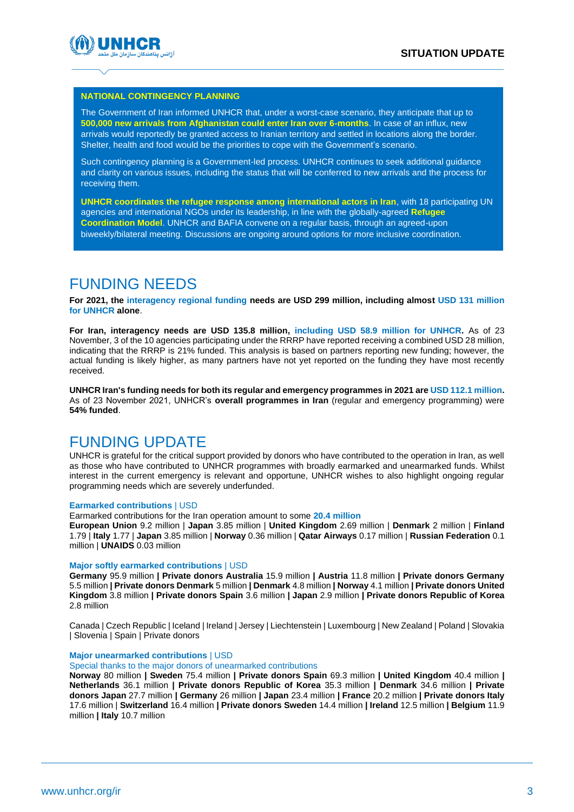

## **NATIONAL CONTINGENCY PLANNING**

The Government of Iran informed UNHCR that, under a worst-case scenario, they anticipate that up to **500,000 new arrivals from Afghanistan could enter Iran over 6-months**. In case of an influx, new arrivals would reportedly be granted access to Iranian territory and settled in locations along the border. Shelter, health and food would be the priorities to cope with the Government's scenario.

Such contingency planning is a Government-led process. UNHCR continues to seek additional guidance and clarity on various issues, including the status that will be conferred to new arrivals and the process for receiving them.

**UNHCR coordinates the refugee response among international actors in Iran**, with 18 participating UN agencies and international NGOs under its leadership, in line with the globally-agreed **Refugee Coordination Model**. UNHCR and BAFIA convene on a regular basis, through an agreed-upon biweekly/bilateral meeting. Discussions are ongoing around options for more inclusive coordination.

# FUNDING NEEDS

**For 2021, the [interagency regional funding](https://app.powerbi.com/view?r=eyJrIjoiM2M2NDMyZTgtZmQ4OC00ZDE1LWEyYWMtMTAxZDY2NzMyY2QxIiwidCI6ImU1YzM3OTgxLTY2NjQtNDEzNC04YTBjLTY1NDNkMmFmODBiZSIsImMiOjh9) needs are USD 299 million, including almost USD 131 million for UNHCR alone**.

**For Iran, interagency needs are USD 135.8 million, including USD 58.9 million for UNHCR.** As of 23 November, 3 of the 10 agencies participating under the RRRP have reported receiving a combined USD 28 million, indicating that the RRRP is 21% funded. This analysis is based on partners reporting new funding; however, the actual funding is likely higher, as many partners have not yet reported on the funding they have most recently received.

**UNHCR Iran's funding needs for both its regular and emergency programmes in 2021 are USD 112.1 million.** As of 23 November 2021, UNHCR's **overall programmes in Iran** (regular and emergency programming) were **54% funded**.

# FUNDING UPDATE

UNHCR is grateful for the critical support provided by donors who have contributed to the operation in Iran, as well as those who have contributed to UNHCR programmes with broadly earmarked and unearmarked funds. Whilst interest in the current emergency is relevant and opportune, UNHCR wishes to also highlight ongoing regular programming needs which are severely underfunded.

### **Earmarked contributions** | USD

Earmarked contributions for the Iran operation amount to some **20.4 million**

**European Union** 9.2 million | **Japan** 3.85 million | **United Kingdom** 2.69 million | **Denmark** 2 million | **Finland** 1.79 | **Italy** 1.77 | **Japan** 3.85 million | **Norway** 0.36 million | **Qatar Airways** 0.17 million | **Russian Federation** 0.1 million | **UNAIDS** 0.03 million

### **Major softly earmarked contributions** | USD

**Germany** 95.9 million **| Private donors Australia** 15.9 million **| Austria** 11.8 million **| Private donors Germany**  5.5 million **| Private donors Denmark** 5 million **| Denmark** 4.8 million **| Norway** 4.1 million **| Private donors United Kingdom** 3.8 million **| Private donors Spain** 3.6 million **| Japan** 2.9 million **| Private donors Republic of Korea**  2.8 million

Canada | Czech Republic | Iceland | Ireland | Jersey | Liechtenstein | Luxembourg | New Zealand | Poland | Slovakia | Slovenia | Spain | Private donors

### **Major unearmarked contributions** | USD

Special thanks to the major donors of unearmarked contributions

**Norway** 80 million **| Sweden** 75.4 million **| Private donors Spain** 69.3 million **| United Kingdom** 40.4 million **| Netherlands** 36.1 million **| Private donors Republic of Korea** 35.3 million **| Denmark** 34.6 million **| Private donors Japan** 27.7 million **| Germany** 26 million **| Japan** 23.4 million **| France** 20.2 million **| Private donors Italy**  17.6 million | **Switzerland** 16.4 million **| Private donors Sweden** 14.4 million **| Ireland** 12.5 million **| Belgium** 11.9 million **| Italy** 10.7 million